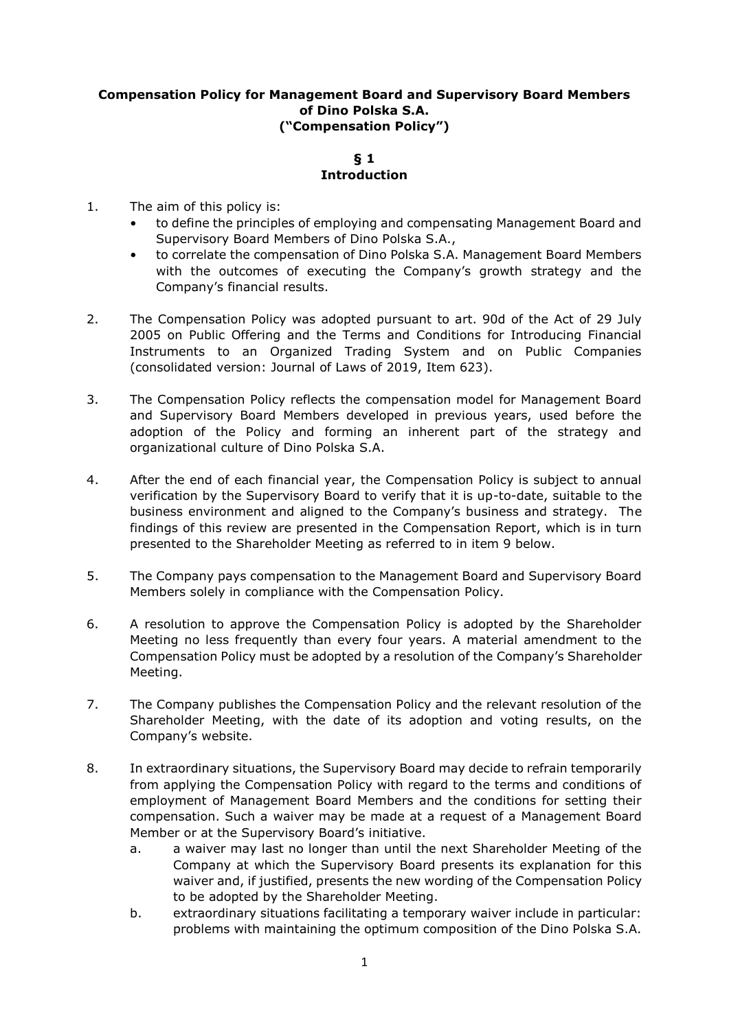# **Compensation Policy for Management Board and Supervisory Board Members of Dino Polska S.A. ("Compensation Policy")**

#### **§ 1 Introduction**

- 1. The aim of this policy is:
	- to define the principles of employing and compensating Management Board and Supervisory Board Members of Dino Polska S.A.,
	- to correlate the compensation of Dino Polska S.A. Management Board Members with the outcomes of executing the Company's growth strategy and the Company's financial results.
- 2. The Compensation Policy was adopted pursuant to art. 90d of the Act of 29 July 2005 on Public Offering and the Terms and Conditions for Introducing Financial Instruments to an Organized Trading System and on Public Companies (consolidated version: Journal of Laws of 2019, Item 623).
- 3. The Compensation Policy reflects the compensation model for Management Board and Supervisory Board Members developed in previous years, used before the adoption of the Policy and forming an inherent part of the strategy and organizational culture of Dino Polska S.A.
- 4. After the end of each financial year, the Compensation Policy is subject to annual verification by the Supervisory Board to verify that it is up-to-date, suitable to the business environment and aligned to the Company's business and strategy. The findings of this review are presented in the Compensation Report, which is in turn presented to the Shareholder Meeting as referred to in item 9 below.
- 5. The Company pays compensation to the Management Board and Supervisory Board Members solely in compliance with the Compensation Policy.
- 6. A resolution to approve the Compensation Policy is adopted by the Shareholder Meeting no less frequently than every four years. A material amendment to the Compensation Policy must be adopted by a resolution of the Company's Shareholder Meeting.
- 7. The Company publishes the Compensation Policy and the relevant resolution of the Shareholder Meeting, with the date of its adoption and voting results, on the Company's website.
- 8. In extraordinary situations, the Supervisory Board may decide to refrain temporarily from applying the Compensation Policy with regard to the terms and conditions of employment of Management Board Members and the conditions for setting their compensation. Such a waiver may be made at a request of a Management Board Member or at the Supervisory Board's initiative.
	- a. a waiver may last no longer than until the next Shareholder Meeting of the Company at which the Supervisory Board presents its explanation for this waiver and, if justified, presents the new wording of the Compensation Policy to be adopted by the Shareholder Meeting.
	- b. extraordinary situations facilitating a temporary waiver include in particular: problems with maintaining the optimum composition of the Dino Polska S.A.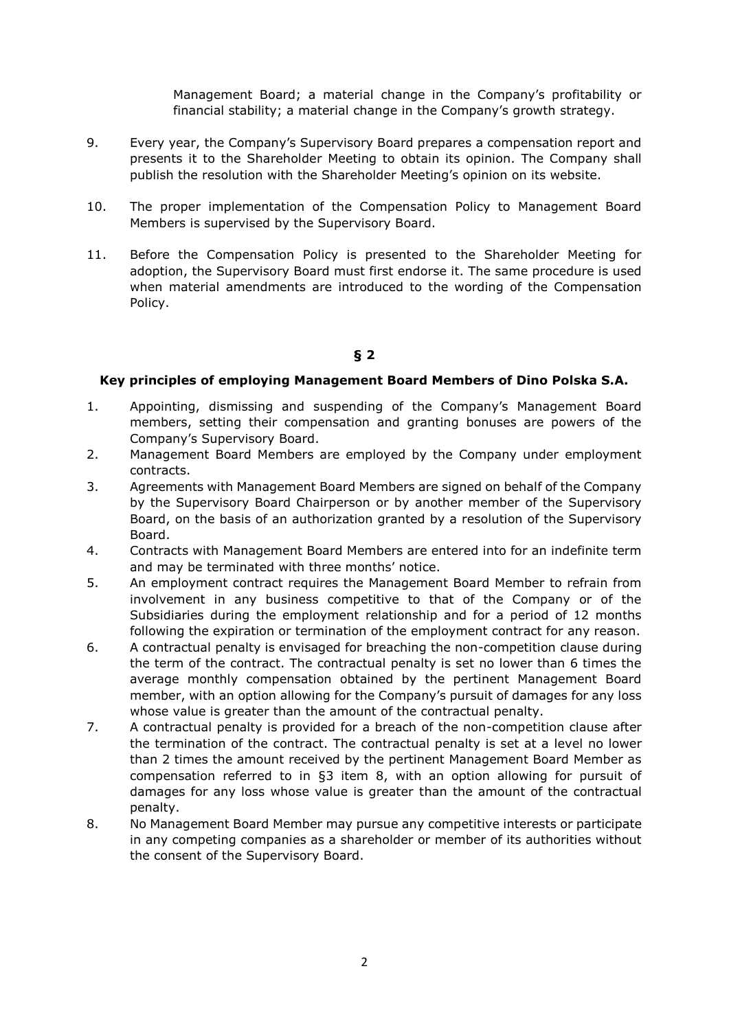Management Board; a material change in the Company's profitability or financial stability; a material change in the Company's growth strategy.

- 9. Every year, the Company's Supervisory Board prepares a compensation report and presents it to the Shareholder Meeting to obtain its opinion. The Company shall publish the resolution with the Shareholder Meeting's opinion on its website.
- 10. The proper implementation of the Compensation Policy to Management Board Members is supervised by the Supervisory Board.
- 11. Before the Compensation Policy is presented to the Shareholder Meeting for adoption, the Supervisory Board must first endorse it. The same procedure is used when material amendments are introduced to the wording of the Compensation Policy.

# **§ 2**

### **Key principles of employing Management Board Members of Dino Polska S.A.**

- 1. Appointing, dismissing and suspending of the Company's Management Board members, setting their compensation and granting bonuses are powers of the Company's Supervisory Board.
- 2. Management Board Members are employed by the Company under employment contracts.
- 3. Agreements with Management Board Members are signed on behalf of the Company by the Supervisory Board Chairperson or by another member of the Supervisory Board, on the basis of an authorization granted by a resolution of the Supervisory Board.
- 4. Contracts with Management Board Members are entered into for an indefinite term and may be terminated with three months' notice.
- 5. An employment contract requires the Management Board Member to refrain from involvement in any business competitive to that of the Company or of the Subsidiaries during the employment relationship and for a period of 12 months following the expiration or termination of the employment contract for any reason.
- 6. A contractual penalty is envisaged for breaching the non-competition clause during the term of the contract. The contractual penalty is set no lower than 6 times the average monthly compensation obtained by the pertinent Management Board member, with an option allowing for the Company's pursuit of damages for any loss whose value is greater than the amount of the contractual penalty.
- 7. A contractual penalty is provided for a breach of the non-competition clause after the termination of the contract. The contractual penalty is set at a level no lower than 2 times the amount received by the pertinent Management Board Member as compensation referred to in §3 item 8, with an option allowing for pursuit of damages for any loss whose value is greater than the amount of the contractual penalty.
- 8. No Management Board Member may pursue any competitive interests or participate in any competing companies as a shareholder or member of its authorities without the consent of the Supervisory Board.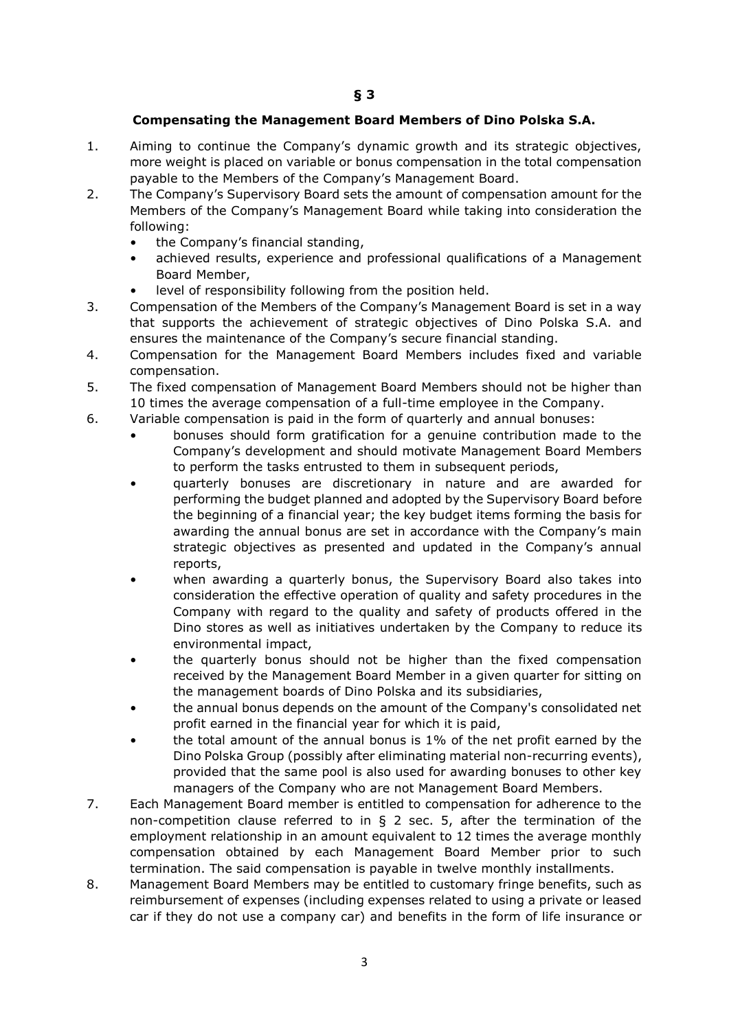### **Compensating the Management Board Members of Dino Polska S.A.**

- 1. Aiming to continue the Company's dynamic growth and its strategic objectives, more weight is placed on variable or bonus compensation in the total compensation payable to the Members of the Company's Management Board.
- 2. The Company's Supervisory Board sets the amount of compensation amount for the Members of the Company's Management Board while taking into consideration the following:
	- the Company's financial standing,
	- achieved results, experience and professional qualifications of a Management Board Member,
	- level of responsibility following from the position held.
- 3. Compensation of the Members of the Company's Management Board is set in a way that supports the achievement of strategic objectives of Dino Polska S.A. and ensures the maintenance of the Company's secure financial standing.
- 4. Compensation for the Management Board Members includes fixed and variable compensation.
- 5. The fixed compensation of Management Board Members should not be higher than 10 times the average compensation of a full-time employee in the Company.
- 6. Variable compensation is paid in the form of quarterly and annual bonuses:
	- bonuses should form gratification for a genuine contribution made to the Company's development and should motivate Management Board Members to perform the tasks entrusted to them in subsequent periods,
	- quarterly bonuses are discretionary in nature and are awarded for performing the budget planned and adopted by the Supervisory Board before the beginning of a financial year; the key budget items forming the basis for awarding the annual bonus are set in accordance with the Company's main strategic objectives as presented and updated in the Company's annual reports,
	- when awarding a quarterly bonus, the Supervisory Board also takes into consideration the effective operation of quality and safety procedures in the Company with regard to the quality and safety of products offered in the Dino stores as well as initiatives undertaken by the Company to reduce its environmental impact,
	- the quarterly bonus should not be higher than the fixed compensation received by the Management Board Member in a given quarter for sitting on the management boards of Dino Polska and its subsidiaries,
	- the annual bonus depends on the amount of the Company's consolidated net profit earned in the financial year for which it is paid,
	- the total amount of the annual bonus is 1% of the net profit earned by the Dino Polska Group (possibly after eliminating material non-recurring events), provided that the same pool is also used for awarding bonuses to other key managers of the Company who are not Management Board Members.
- 7. Each Management Board member is entitled to compensation for adherence to the non-competition clause referred to in § 2 sec. 5, after the termination of the employment relationship in an amount equivalent to 12 times the average monthly compensation obtained by each Management Board Member prior to such termination. The said compensation is payable in twelve monthly installments.
- 8. Management Board Members may be entitled to customary fringe benefits, such as reimbursement of expenses (including expenses related to using a private or leased car if they do not use a company car) and benefits in the form of life insurance or